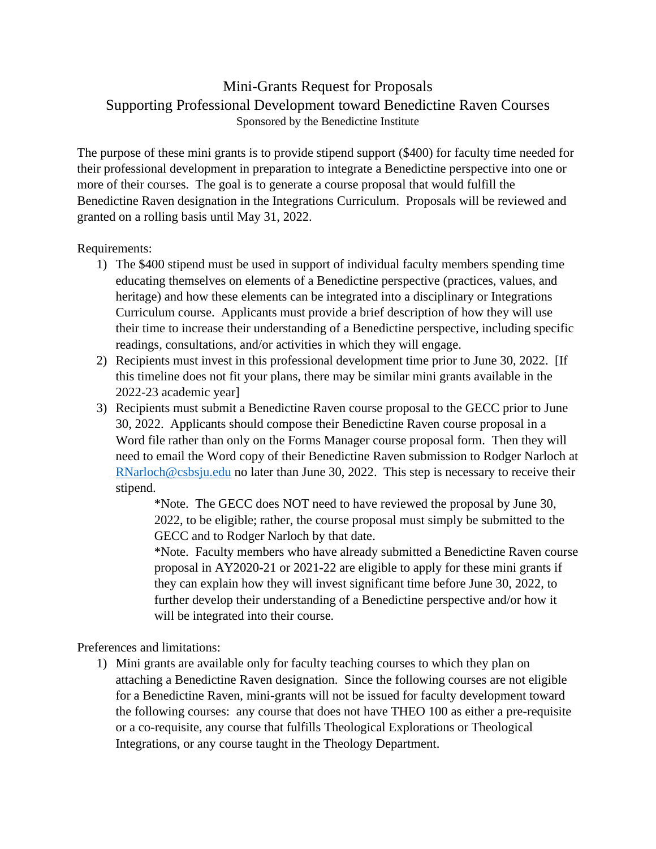## Mini-Grants Request for Proposals Supporting Professional Development toward Benedictine Raven Courses Sponsored by the Benedictine Institute

The purpose of these mini grants is to provide stipend support (\$400) for faculty time needed for their professional development in preparation to integrate a Benedictine perspective into one or more of their courses. The goal is to generate a course proposal that would fulfill the Benedictine Raven designation in the Integrations Curriculum. Proposals will be reviewed and granted on a rolling basis until May 31, 2022.

Requirements:

- 1) The \$400 stipend must be used in support of individual faculty members spending time educating themselves on elements of a Benedictine perspective (practices, values, and heritage) and how these elements can be integrated into a disciplinary or Integrations Curriculum course. Applicants must provide a brief description of how they will use their time to increase their understanding of a Benedictine perspective, including specific readings, consultations, and/or activities in which they will engage.
- 2) Recipients must invest in this professional development time prior to June 30, 2022. [If this timeline does not fit your plans, there may be similar mini grants available in the 2022-23 academic year]
- 3) Recipients must submit a Benedictine Raven course proposal to the GECC prior to June 30, 2022. Applicants should compose their Benedictine Raven course proposal in a Word file rather than only on the Forms Manager course proposal form. Then they will need to email the Word copy of their Benedictine Raven submission to Rodger Narloch at [RNarloch@csbsju.edu](mailto:RNarloch@csbsju.edu) no later than June 30, 2022. This step is necessary to receive their stipend.

\*Note. The GECC does NOT need to have reviewed the proposal by June 30, 2022, to be eligible; rather, the course proposal must simply be submitted to the GECC and to Rodger Narloch by that date.

\*Note. Faculty members who have already submitted a Benedictine Raven course proposal in AY2020-21 or 2021-22 are eligible to apply for these mini grants if they can explain how they will invest significant time before June 30, 2022, to further develop their understanding of a Benedictine perspective and/or how it will be integrated into their course.

Preferences and limitations:

1) Mini grants are available only for faculty teaching courses to which they plan on attaching a Benedictine Raven designation. Since the following courses are not eligible for a Benedictine Raven, mini-grants will not be issued for faculty development toward the following courses: any course that does not have THEO 100 as either a pre-requisite or a co-requisite, any course that fulfills Theological Explorations or Theological Integrations, or any course taught in the Theology Department.